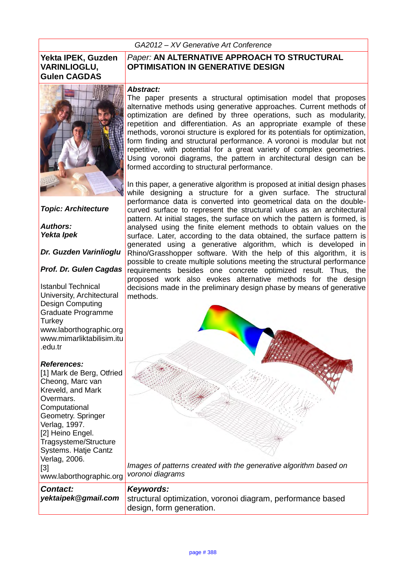*GA2012 – XV Generative Art Conference* 

### **Yekta IPEK, Guzden VARINLIOGLU, Gulen CAGDAS**



*Topic: Architecture*

*Authors: Yekta Ipek*

*Dr. Guzden Varinlioglu*

#### *Prof. Dr. Gulen Cagdas*

Istanbul Technical University, Architectural Design Computing Graduate Programme **Turkey** www.laborthographic.org www.mimarliktabilisim.itu .edu.tr

#### *References:*

[1] Mark de Berg, Otfried Cheong, Marc van Kreveld, and Mark Overmars. **Computational** Geometry. Springer Verlag, 1997. [2] Heino Engel. Tragsysteme/Structure Systems. Hatje Cantz Verlag, 2006. [3] www.laborthographic.org

### *Paper:* **AN ALTERNATIVE APPROACH TO STRUCTURAL OPTIMISATION IN GENERATIVE DESIGN**

#### *Abstract:*

The paper presents a structural optimisation model that proposes alternative methods using generative approaches. Current methods of optimization are defined by three operations, such as modularity, repetition and differentiation. As an appropriate example of these methods, voronoi structure is explored for its potentials for optimization, form finding and structural performance. A voronoi is modular but not repetitive, with potential for a great variety of complex geometries. Using voronoi diagrams, the pattern in architectural design can be formed according to structural performance.

In this paper, a generative algorithm is proposed at initial design phases while designing a structure for a given surface. The structural performance data is converted into geometrical data on the doublecurved surface to represent the structural values as an architectural pattern. At initial stages, the surface on which the pattern is formed, is analysed using the finite element methods to obtain values on the surface. Later, according to the data obtained, the surface pattern is generated using a generative algorithm, which is developed in Rhino/Grasshopper software. With the help of this algorithm, it is possible to create multiple solutions meeting the structural performance requirements besides one concrete optimized result. Thus, the proposed work also evokes alternative methods for the design decisions made in the preliminary design phase by means of generative methods.



*Images of patterns created with the generative algorithm based on voronoi diagrams*

*Contact: yektaipek@gmail.com Keywords:*  structural optimization, voronoi diagram, performance based design, form generation.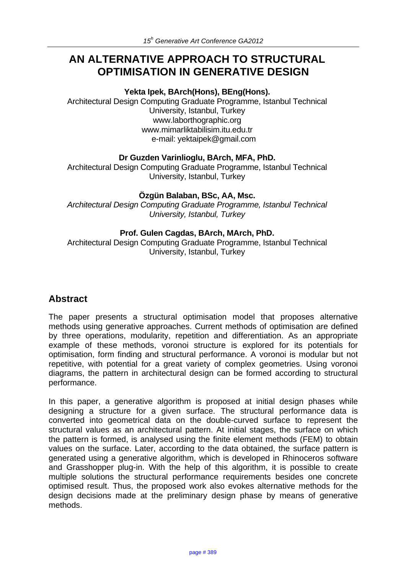# **AN ALTERNATIVE APPROACH TO STRUCTURAL OPTIMISATION IN GENERATIVE DESIGN**

#### **Yekta Ipek, BArch(Hons), BEng(Hons).**

Architectural Design Computing Graduate Programme, Istanbul Technical University, Istanbul, Turkey www.laborthographic.org www.mimarliktabilisim.itu.edu.tr e-mail: yektaipek@gmail.com

#### **Dr Guzden Varinlioglu, BArch, MFA, PhD.**

Architectural Design Computing Graduate Programme, Istanbul Technical University, Istanbul, Turkey

#### **Özgün Balaban, BSc, AA, Msc.**

*Architectural Design Computing Graduate Programme, Istanbul Technical University, Istanbul, Turkey*

#### **Prof. Gulen Cagdas, BArch, MArch, PhD.**

Architectural Design Computing Graduate Programme, Istanbul Technical University, Istanbul, Turkey

### **Abstract**

The paper presents a structural optimisation model that proposes alternative methods using generative approaches. Current methods of optimisation are defined by three operations, modularity, repetition and differentiation. As an appropriate example of these methods, voronoi structure is explored for its potentials for optimisation, form finding and structural performance. A voronoi is modular but not repetitive, with potential for a great variety of complex geometries. Using voronoi diagrams, the pattern in architectural design can be formed according to structural performance.

In this paper, a generative algorithm is proposed at initial design phases while designing a structure for a given surface. The structural performance data is converted into geometrical data on the double-curved surface to represent the structural values as an architectural pattern. At initial stages, the surface on which the pattern is formed, is analysed using the finite element methods (FEM) to obtain values on the surface. Later, according to the data obtained, the surface pattern is generated using a generative algorithm, which is developed in Rhinoceros software and Grasshopper plug-in. With the help of this algorithm, it is possible to create multiple solutions the structural performance requirements besides one concrete optimised result. Thus, the proposed work also evokes alternative methods for the design decisions made at the preliminary design phase by means of generative methods.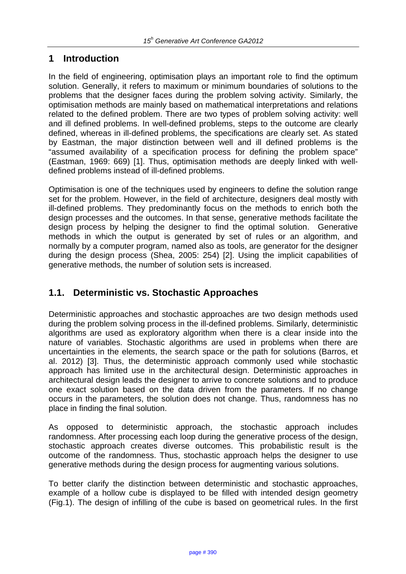# **1 Introduction**

In the field of engineering, optimisation plays an important role to find the optimum solution. Generally, it refers to maximum or minimum boundaries of solutions to the problems that the designer faces during the problem solving activity. Similarly, the optimisation methods are mainly based on mathematical interpretations and relations related to the defined problem. There are two types of problem solving activity: well and ill defined problems. In well-defined problems, steps to the outcome are clearly defined, whereas in ill-defined problems, the specifications are clearly set. As stated by Eastman, the major distinction between well and ill defined problems is the "assumed availability of a specification process for defining the problem space" (Eastman, 1969: 669) [1]. Thus, optimisation methods are deeply linked with welldefined problems instead of ill-defined problems.

Optimisation is one of the techniques used by engineers to define the solution range set for the problem. However, in the field of architecture, designers deal mostly with ill-defined problems. They predominantly focus on the methods to enrich both the design processes and the outcomes. In that sense, generative methods facilitate the design process by helping the designer to find the optimal solution. Generative methods in which the output is generated by set of rules or an algorithm, and normally by a computer program, named also as tools, are generator for the designer during the design process (Shea, 2005: 254) [2]. Using the implicit capabilities of generative methods, the number of solution sets is increased.

# **1.1. Deterministic vs. Stochastic Approaches**

Deterministic approaches and stochastic approaches are two design methods used during the problem solving process in the ill-defined problems. Similarly, deterministic algorithms are used as exploratory algorithm when there is a clear inside into the nature of variables. Stochastic algorithms are used in problems when there are uncertainties in the elements, the search space or the path for solutions (Barros, et al. 2012) [3]. Thus, the deterministic approach commonly used while stochastic approach has limited use in the architectural design. Deterministic approaches in architectural design leads the designer to arrive to concrete solutions and to produce one exact solution based on the data driven from the parameters. If no change occurs in the parameters, the solution does not change. Thus, randomness has no place in finding the final solution.

As opposed to deterministic approach, the stochastic approach includes randomness. After processing each loop during the generative process of the design, stochastic approach creates diverse outcomes. This probabilistic result is the outcome of the randomness. Thus, stochastic approach helps the designer to use generative methods during the design process for augmenting various solutions.

To better clarify the distinction between deterministic and stochastic approaches, example of a hollow cube is displayed to be filled with intended design geometry (Fig.1). The design of infilling of the cube is based on geometrical rules. In the first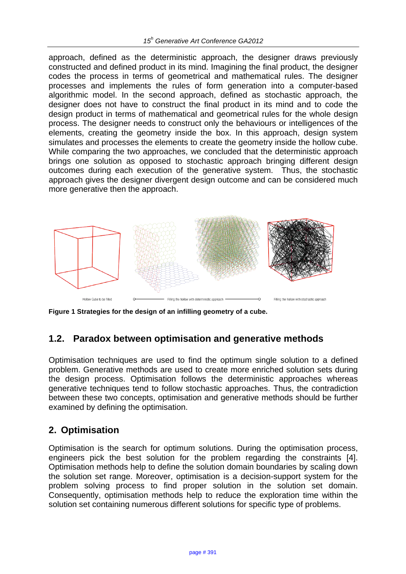approach, defined as the deterministic approach, the designer draws previously constructed and defined product in its mind. Imagining the final product, the designer codes the process in terms of geometrical and mathematical rules. The designer processes and implements the rules of form generation into a computer-based algorithmic model. In the second approach, defined as stochastic approach, the designer does not have to construct the final product in its mind and to code the design product in terms of mathematical and geometrical rules for the whole design process. The designer needs to construct only the behaviours or intelligences of the elements, creating the geometry inside the box. In this approach, design system simulates and processes the elements to create the geometry inside the hollow cube. While comparing the two approaches, we concluded that the deterministic approach brings one solution as opposed to stochastic approach bringing different design outcomes during each execution of the generative system. Thus, the stochastic approach gives the designer divergent design outcome and can be considered much more generative then the approach.



**Figure 1 Strategies for the design of an infilling geometry of a cube.**

# **1.2. Paradox between optimisation and generative methods**

Optimisation techniques are used to find the optimum single solution to a defined problem. Generative methods are used to create more enriched solution sets during the design process. Optimisation follows the deterministic approaches whereas generative techniques tend to follow stochastic approaches. Thus, the contradiction between these two concepts, optimisation and generative methods should be further examined by defining the optimisation.

# **2. Optimisation**

Optimisation is the search for optimum solutions. During the optimisation process, engineers pick the best solution for the problem regarding the constraints [4]. Optimisation methods help to define the solution domain boundaries by scaling down the solution set range. Moreover, optimisation is a decision-support system for the problem solving process to find proper solution in the solution set domain. Consequently, optimisation methods help to reduce the exploration time within the solution set containing numerous different solutions for specific type of problems.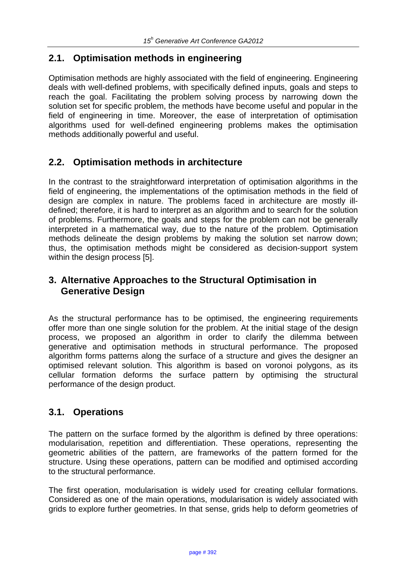# **2.1. Optimisation methods in engineering**

Optimisation methods are highly associated with the field of engineering. Engineering deals with well-defined problems, with specifically defined inputs, goals and steps to reach the goal. Facilitating the problem solving process by narrowing down the solution set for specific problem, the methods have become useful and popular in the field of engineering in time. Moreover, the ease of interpretation of optimisation algorithms used for well-defined engineering problems makes the optimisation methods additionally powerful and useful.

# **2.2. Optimisation methods in architecture**

In the contrast to the straightforward interpretation of optimisation algorithms in the field of engineering, the implementations of the optimisation methods in the field of design are complex in nature. The problems faced in architecture are mostly illdefined; therefore, it is hard to interpret as an algorithm and to search for the solution of problems. Furthermore, the goals and steps for the problem can not be generally interpreted in a mathematical way, due to the nature of the problem. Optimisation methods delineate the design problems by making the solution set narrow down; thus, the optimisation methods might be considered as decision-support system within the design process [5].

# **3. Alternative Approaches to the Structural Optimisation in Generative Design**

As the structural performance has to be optimised, the engineering requirements offer more than one single solution for the problem. At the initial stage of the design process, we proposed an algorithm in order to clarify the dilemma between generative and optimisation methods in structural performance. The proposed algorithm forms patterns along the surface of a structure and gives the designer an optimised relevant solution. This algorithm is based on voronoi polygons, as its cellular formation deforms the surface pattern by optimising the structural performance of the design product.

### **3.1. Operations**

The pattern on the surface formed by the algorithm is defined by three operations: modularisation, repetition and differentiation. These operations, representing the geometric abilities of the pattern, are frameworks of the pattern formed for the structure. Using these operations, pattern can be modified and optimised according to the structural performance.

The first operation, modularisation is widely used for creating cellular formations. Considered as one of the main operations, modularisation is widely associated with grids to explore further geometries. In that sense, grids help to deform geometries of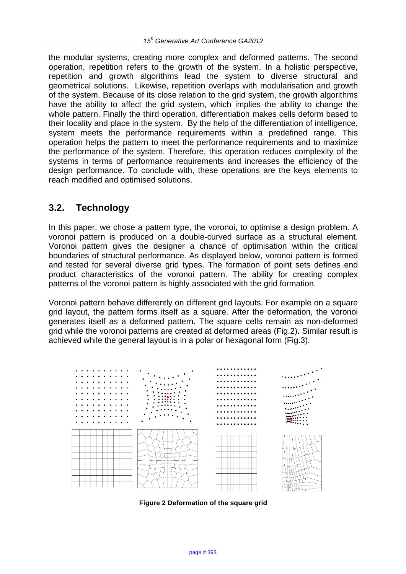the modular systems, creating more complex and deformed patterns. The second operation, repetition refers to the growth of the system. In a holistic perspective, repetition and growth algorithms lead the system to diverse structural and geometrical solutions. Likewise, repetition overlaps with modularisation and growth of the system. Because of its close relation to the grid system, the growth algorithms have the ability to affect the grid system, which implies the ability to change the whole pattern. Finally the third operation, differentiation makes cells deform based to their locality and place in the system. By the help of the differentiation of intelligence, system meets the performance requirements within a predefined range. This operation helps the pattern to meet the performance requirements and to maximize the performance of the system. Therefore, this operation reduces complexity of the systems in terms of performance requirements and increases the efficiency of the design performance. To conclude with, these operations are the keys elements to reach modified and optimised solutions.

### **3.2. Technology**

In this paper, we chose a pattern type, the voronoi, to optimise a design problem. A voronoi pattern is produced on a double-curved surface as a structural element. Voronoi pattern gives the designer a chance of optimisation within the critical boundaries of structural performance. As displayed below, voronoi pattern is formed and tested for several diverse grid types. The formation of point sets defines end product characteristics of the voronoi pattern. The ability for creating complex patterns of the voronoi pattern is highly associated with the grid formation.

Voronoi pattern behave differently on different grid layouts. For example on a square grid layout, the pattern forms itself as a square. After the deformation, the voronoi generates itself as a deformed pattern. The square cells remain as non-deformed grid while the voronoi patterns are created at deformed areas (Fig.2). Similar result is achieved while the general layout is in a polar or hexagonal form (Fig.3).



**Figure 2 Deformation of the square grid**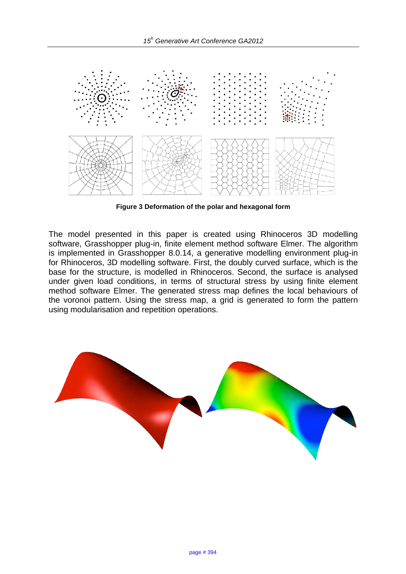

**Figure 3 Deformation of the polar and hexagonal form**

The model presented in this paper is created using Rhinoceros 3D modelling software, Grasshopper plug-in, finite element method software Elmer. The algorithm is implemented in Grasshopper 8.0.14, a generative modelling environment plug-in for Rhinoceros, 3D modelling software. First, the doubly curved surface, which is the base for the structure, is modelled in Rhinoceros. Second, the surface is analysed under given load conditions, in terms of structural stress by using finite element method software Elmer. The generated stress map defines the local behaviours of the voronoi pattern. Using the stress map, a grid is generated to form the pattern using modularisation and repetition operations.

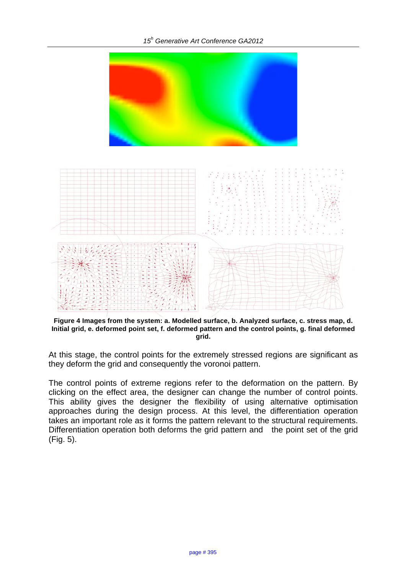*15<sup>h</sup> Generative Art Conference GA2012*



**Figure 4 Images from the system: a. Modelled surface, b. Analyzed surface, c. stress map, d. Initial grid, e. deformed point set, f. deformed pattern and the control points, g. final deformed grid.**

At this stage, the control points for the extremely stressed regions are significant as they deform the grid and consequently the voronoi pattern.

The control points of extreme regions refer to the deformation on the pattern. By clicking on the effect area, the designer can change the number of control points. This ability gives the designer the flexibility of using alternative optimisation approaches during the design process. At this level, the differentiation operation takes an important role as it forms the pattern relevant to the structural requirements. Differentiation operation both deforms the grid pattern and the point set of the grid (Fig. 5).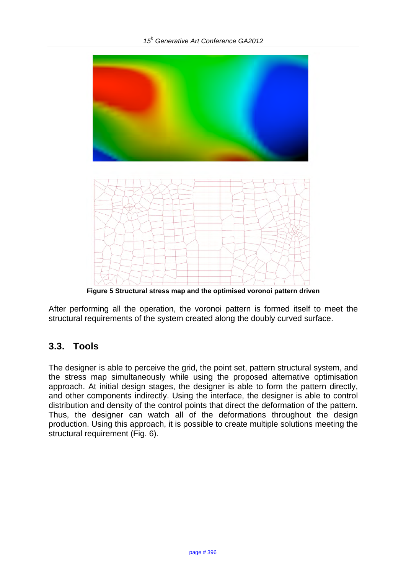

**Figure 5 Structural stress map and the optimised voronoi pattern driven**

After performing all the operation, the voronoi pattern is formed itself to meet the structural requirements of the system created along the doubly curved surface.

### **3.3. Tools**

The designer is able to perceive the grid, the point set, pattern structural system, and the stress map simultaneously while using the proposed alternative optimisation approach. At initial design stages, the designer is able to form the pattern directly, and other components indirectly. Using the interface, the designer is able to control distribution and density of the control points that direct the deformation of the pattern. Thus, the designer can watch all of the deformations throughout the design production. Using this approach, it is possible to create multiple solutions meeting the structural requirement (Fig. 6).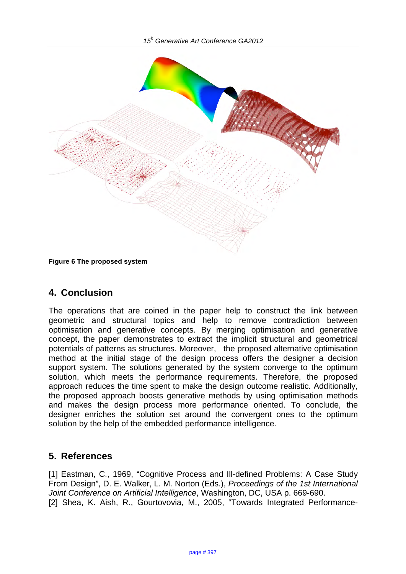

**Figure 6 The proposed system**

### **4. Conclusion**

The operations that are coined in the paper help to construct the link between geometric and structural topics and help to remove contradiction between optimisation and generative concepts. By merging optimisation and generative concept, the paper demonstrates to extract the implicit structural and geometrical potentials of patterns as structures. Moreover, the proposed alternative optimisation method at the initial stage of the design process offers the designer a decision support system. The solutions generated by the system converge to the optimum solution, which meets the performance requirements. Therefore, the proposed approach reduces the time spent to make the design outcome realistic. Additionally, the proposed approach boosts generative methods by using optimisation methods and makes the design process more performance oriented. To conclude, the designer enriches the solution set around the convergent ones to the optimum solution by the help of the embedded performance intelligence.

### **5. References**

[1] Eastman, C., 1969, "Cognitive Process and III-defined Problems: A Case Study From Design", D. E. Walker, L. M. Norton (Eds.), *Proceedings of the 1st International Joint Conference on Artificial Intelligence*, Washington, DC, USA p. 669-690. [2] Shea, K. Aish, R., Gourtovovia, M., 2005, "Towards Integrated Performance